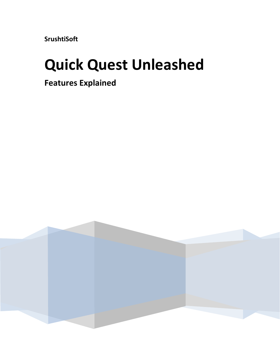**SrushtiSoft**

# **Quick Quest Unleashed**

**Features Explained**

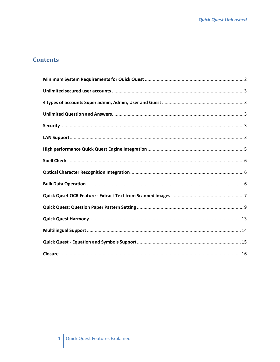#### **Contents**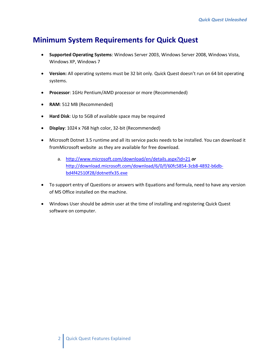## <span id="page-2-0"></span>**Minimum System Requirements for Quick Quest**

- **Supported Operating Systems**: Windows Server 2003, Windows Server 2008, Windows Vista, Windows XP, Windows 7
- **Version:** All operating systems must be 32 bit only. Quick Quest doesn't run on 64 bit operating systems.
- **Processor**: 1GHz Pentium/AMD processor or more (Recommended)
- **RAM**: 512 MB (Recommended)
- **Hard Disk**: Up to 5GB of available space may be required
- **Display**: 1024 x 768 high color, 32-bit (Recommended)
- Microsoft Dotnet 3.5 runtime and all its service packs needs to be installed. You can download it fromMicrosoft website as they are available for free download.
	- a. <http://www.microsoft.com/download/en/details.aspx?id=21> *or* [http://download.microsoft.com/download/6/0/f/60fc5854-3cb8-4892-b6db](http://download.microsoft.com/download/6/0/f/60fc5854-3cb8-4892-b6db-bd4f42510f28/dotnetfx35.exe)[bd4f42510f28/dotnetfx35.exe](http://download.microsoft.com/download/6/0/f/60fc5854-3cb8-4892-b6db-bd4f42510f28/dotnetfx35.exe)
- To support entry of Questions or answers with Equations and formula, need to have any version of MS Office installed on the machine.
- Windows User should be admin user at the time of installing and registering Quick Quest software on computer.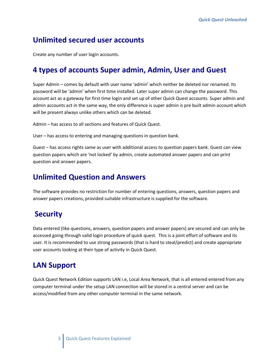#### <span id="page-3-0"></span>**Unlimited secured user accounts**

Create any number of user login accounts.

#### <span id="page-3-1"></span>**4 types of accounts Super admin, Admin, User and Guest**

Super Admin – comes by default with user name 'admin' which neither be deleted nor renamed. Its password will be 'admin' when first time installed. Later super admin can change the password. This account act as a gateway for first time login and set up of other Quick Quest accounts. Super admin and admin accounts act in the same way, the only difference is super admin is pre built admin account which will be present always unlike others which can be deleted.

Admin – has access to all sections and features of Quick Quest.

User – has access to entering and managing questions in question bank.

Guest – has access rights same as user with additional access to question papers bank. Guest can view question papers which are 'not locked' by admin, create automated answer papers and can print question and answer papers.

#### <span id="page-3-2"></span>**Unlimited Question and Answers**

The software provides no restriction for number of entering questions, answers, question papers and answer papers creations, provided suitable infrastructure is supplied for the software.

#### <span id="page-3-3"></span>**Security**

Data entered (like questions, answers, question papers and answer papers) are secured and can only be accessed going through valid login procedure of quick quest. This is a joint effort of software and its user. It is recommended to use strong passwords (that is hard to steal/predict) and create appropriate user accounts looking at their type of activity in Quick Quest.

## <span id="page-3-4"></span>**LAN Support**

Quick Quest Network Edition supports LAN i.e, Local Area Network, that is all entered entered from any computer terminal under the setup LAN connection will be stored in a central server and can be access/modified from any other computer terminal in the same network.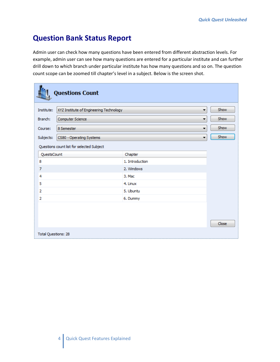## **Question Bank Status Report**

Admin user can check how many questions have been entered from different abstraction levels. For example, admin user can see how many questions are entered for a particular institute and can further drill down to which branch under particular institute has how many questions and so on. The question count scope can be zoomed till chapter's level in a subject. Below is the screen shot.

|                     | <b>Questions Count</b>                    |                 |       |
|---------------------|-------------------------------------------|-----------------|-------|
| Institute:          | XYZ Institute of Engineering Technology   | ۰               | Show  |
| Branch:             | Computer Science                          | ▼               | Show  |
| Course:             | 8 Semester                                | ▼               | Show  |
| Subjects:           | CS80 - Operating Systems                  | ۰               | Show  |
|                     | Questions count list for selected Subject |                 |       |
| QuestsCount         |                                           | Chapter         |       |
| 8                   |                                           | 1. Introduction |       |
| $\overline{7}$      |                                           | 2. Windows      |       |
| 4                   |                                           | 3. Mac          |       |
| 5                   |                                           | 4. Linux        |       |
| 2                   |                                           | 5. Ubuntu       |       |
| $\overline{2}$      |                                           | 6. Dummy        |       |
|                     |                                           |                 | Close |
| Total Questions: 28 |                                           |                 |       |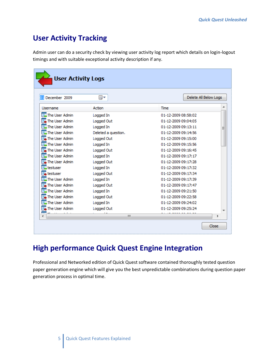# **User Activity Tracking**

Admin user can do a security check by viewing user activity log report which details on login-logout timings and with suitable exceptional activity description if any.

| 01 December 2009                       | ▦▾                  | Delete All Below Logs |  |
|----------------------------------------|---------------------|-----------------------|--|
| Username                               | Action              | Time                  |  |
| The User Admin                         | Logged In           | 01-12-2009 08:58:02   |  |
| The User Admin                         | Logged Out          | 01-12-2009 09:04:05   |  |
| The User Admin                         | Logged In           | 01-12-2009 09:13:11   |  |
| $\overline{\mathbb{Z}}$ The User Admin | Deleted a question. | 01-12-2009 09:14:56   |  |
| The User Admin                         | Logged Out          | 01-12-2009 09:15:00   |  |
| The User Admin                         | Logged In           | 01-12-2009 09:15:56   |  |
| The User Admin                         | Logged Out          | 01-12-2009 09:16:45   |  |
| $\overline{\mathbb{Z}}$ The User Admin | Logged In           | 01-12-2009 09:17:17   |  |
| The User Admin                         | Logged Out          | 01-12-2009 09:17:28   |  |
| Liestuser                              | Logged In           | 01-12-2009 09:17:32   |  |
| $\overline{\phantom{a}}$ testuser      | Logged Out          | 01-12-2009 09:17:34   |  |
| $\overline{\mathbb{Z}}$ The User Admin | Logged In           | 01-12-2009 09:17:39   |  |
| The User Admin                         | Logged Out          | 01-12-2009 09:17:47   |  |
| The User Admin                         | Logged In           | 01-12-2009 09:21:50   |  |
| The User Admin                         | Logged Out          | 01-12-2009 09:22:58   |  |
| The User Admin                         | Logged In           | 01-12-2009 09:24:02   |  |
| The User Admin                         | Logged Out          | 01-12-2009 09:25:24   |  |

# <span id="page-5-0"></span>**High performance Quick Quest Engine Integration**

Professional and Networked edition of Quick Quest software contained thoroughly tested question paper generation engine which will give you the best unpredictable combinations during question paper generation process in optimal time.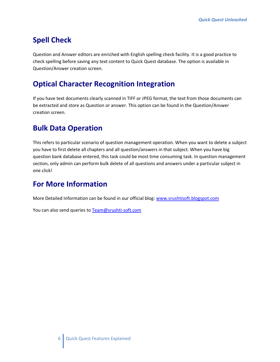# <span id="page-6-0"></span>**Spell Check**

Question and Answer editors are enriched with English spelling check facility. It is a good practice to check spelling before saving any text content to Quick Quest database. The option is available in Question/Answer creation screen.

# <span id="page-6-1"></span>**Optical Character Recognition Integration**

If you have text documents clearly scanned in TIFF or JPEG format, the text from those documents can be extracted and store as Question or answer. This option can be found in the Question/Answer creation screen.

# <span id="page-6-2"></span>**Bulk Data Operation**

This refers to particular scenario of question management operation. When you want to delete a subject you have to first delete all chapters and all question/answers in that subject. When you have big question bank database entered, this task could be most time consuming task. In question management section, only admin can perform bulk delete of all questions and answers under a particular subject in one click!

## **For More Information**

More Detailed Information can be found in our official blog[: www.srushtisoft.blogspot.com](http://www.srushtisoft.blogspot.com/)

You can also send queries to [Team@srushti-soft.com](mailto:Team@srushti-soft.com)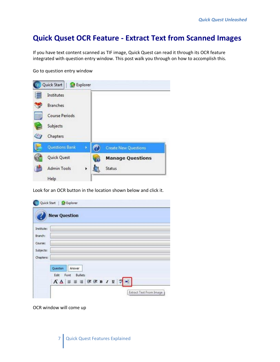#### <span id="page-7-0"></span>**Quick Quset OCR Feature - Extract Text from Scanned Images**

If you have text content scanned as TIF image, Quick Quest can read it through its OCR feature integrated with question entry window. This post walk you through on how to accomplish this.

Go to question entry window



Look for an OCR button in the location shown below and click it.

|            | <b>New Question</b>           |
|------------|-------------------------------|
| Institute: |                               |
| Branch:    |                               |
| Course:    |                               |
| Subjects:  |                               |
| Chapters:  |                               |
|            |                               |
|            | Question<br>Answer            |
|            | Edit Font Bullets             |
|            | <b>A △ ■ ■ ■ 字字 B / Ⅱ   →</b> |

OCR window will come up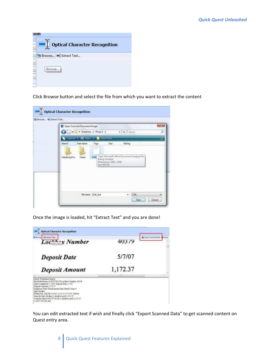| uon    |                                      |
|--------|--------------------------------------|
|        | <b>Optical Character Recognition</b> |
|        | Browse <b>Di</b> Extract Text        |
| Browse |                                      |
|        |                                      |

Click Browse button and select the file from which you want to extract the content

|                      | C Open Scanned Document Image<br>w M DataEntry > Phase1 ><br>Crosnice . No Views To New Folder |                     |                                         | $-49$ Search                                               |       |
|----------------------|------------------------------------------------------------------------------------------------|---------------------|-----------------------------------------|------------------------------------------------------------|-------|
| Name<br>DataEntryPro | Date taken<br>Texter                                                                           | Tags<br>赶           | Size<br>Rating: Unrated                 | Rating<br>EOB Type: Microsoft Office Document Imaging File |       |
|                      |                                                                                                |                     | Dimensions: 2561 x 3300<br>Size: 876 KS |                                                            |       |
|                      |                                                                                                | File name: EOB_B of |                                         | ×.                                                         | (540) |

Once the image is loaded, hit "Extract Text" and you are done!

| <b>Optical Character Recognition</b>                                                                                                                                                                                                                                                                                                                                                                                  |          |                                                   |
|-----------------------------------------------------------------------------------------------------------------------------------------------------------------------------------------------------------------------------------------------------------------------------------------------------------------------------------------------------------------------------------------------------------------------|----------|---------------------------------------------------|
| will futured Text<br><b>District</b><br>Lockhox Number                                                                                                                                                                                                                                                                                                                                                                | 40379    | <b>E</b> Export Scienced Coca<br><b>CALCASSAR</b> |
| <b>Deposit Date</b>                                                                                                                                                                                                                                                                                                                                                                                                   | 5/7/07   |                                                   |
| <b>Deposit Amount</b>                                                                                                                                                                                                                                                                                                                                                                                                 | 1,172.37 |                                                   |
| Batch Werksheet Report<br>Batch/Reference 050707791242 Lockbox Number 46379<br>Date Completed 5: 10/07 Deposit Date 5/7/07<br><b>Deposit Amount 1.172.37</b><br>Employee Date Detril amount Epic Batch Trans #<br>Enic On-line<br>PERKINS, MICHI 5/10/07 1.172 37 2772741 266010<br>Statu for Epic On-line (1 detail record) 1,172.37<br>Total for batch O50707791241(1 detail record) 1,172.37<br>5/10/07 9:22:08 AM |          |                                                   |

You can edit extracted text if wish and finally click "Export Scanned Data" to get scanned content on Quest entry area.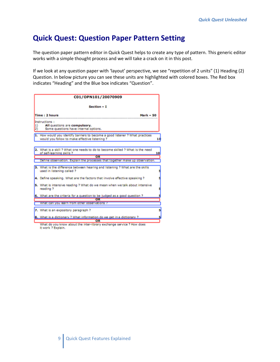#### <span id="page-9-0"></span>**[Quick Quest: Question Paper Pattern Setting](http://srushtisoft.blogspot.com/2008/08/quick-quest-question-paper-pattern.html)**

The question paper pattern editor in Quick Quest helps to create any type of pattern. This generic editor works with a simple thought process and we will take a crack on it in this post.

If we look at any question paper with 'layout' perspective, we see "repetition of 2 units" (1) Heading (2) Question. In below picture you can see these units are highlighted with colored boxes. The Red box indicates "Heading" and the Blue box indicates "Question".

| C01/OPN101/20070909                                                                                                             |    |  |  |  |  |
|---------------------------------------------------------------------------------------------------------------------------------|----|--|--|--|--|
| Section - I                                                                                                                     |    |  |  |  |  |
| Time: 2 hours<br>$Mark - 50$                                                                                                    |    |  |  |  |  |
| Instructions:<br>All questions are compulsory.<br>$ 1\rangle$<br> 2)<br>Some questions have internal options.                   |    |  |  |  |  |
| 1. How would you identify barriers to become a good listener ? What practices<br>would you follow to make effective listening ? | 10 |  |  |  |  |
| What is a skill ? What one needs to do to become skiled ? What is the need<br>2.<br>of self-learning skills ?                   | 10 |  |  |  |  |
| OR                                                                                                                              |    |  |  |  |  |
| Define observation. Explain the processes that together make up observation.                                                    |    |  |  |  |  |
| 3. What is the difference between hearing and listening ? What are the skills<br>used in listening called?                      |    |  |  |  |  |
| 4. Define speaking. What are the factors that involve effective speaking?                                                       |    |  |  |  |  |
| 5. What is intensive reading ? What do we mean when we talk about intensive<br>reading?                                         |    |  |  |  |  |
| 6. What are the criteria for a question to be judged as a good question ?<br>OR                                                 |    |  |  |  |  |
| What can you learn from other observations ?                                                                                    |    |  |  |  |  |
| 7. What is an expository paragraph?                                                                                             |    |  |  |  |  |
| 8. What is a dictionary ? What information do we get in a dictionary ?<br>OR                                                    |    |  |  |  |  |

What do you know about the inter-library exchange service ? How does it work ? Explain.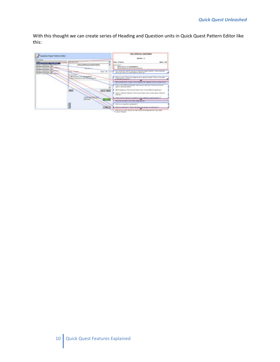With this thought we can create series of Heading and Question units in Quick Quest Pattern Editor like this:

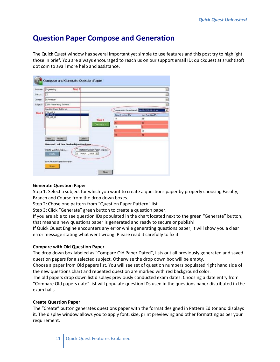# **[Question Paper Compose and Generation](http://srushtisoft.blogspot.com/2009/03/question-paper-compose-and-generation.html)**

The Quick Quest window has several important yet simple to use features and this post try to highlight those in brief. You are always encouraged to reach us on our support email ID: quickquest at srushtisoft dot com to avail more help and assistance.

| Step 1<br>Engineering                          |                                   |                                              |                  |
|------------------------------------------------|-----------------------------------|----------------------------------------------|------------------|
| <b>CS</b>                                      |                                   |                                              |                  |
| 8 Semester                                     |                                   |                                              |                  |
| CS80 - Operating Systems                       |                                   |                                              |                  |
| Question Paper Patterns:                       |                                   | Compare Old Paper Dated: 14-08-2008 09:16:36 |                  |
| CSB 05 1<br>$\overline{CSR}$ $\overline{OS}$ 3 |                                   | New Question IDs                             | Old Question IDs |
| C58_05_41                                      | Step 3                            | 14                                           | 23               |
|                                                | Generate                          | 26                                           | 26               |
|                                                |                                   | 1ű                                           | c                |
|                                                |                                   |                                              | t6               |
|                                                |                                   | ks.                                          | 43               |
| New Modify                                     | Delete .                          |                                              |                  |
| Store and Lock New Finalized Question Paper    |                                   |                                              |                  |
| Create Question Paper                          | Protect Question Paper Till Date: |                                              |                  |
| ÌЮ.<br><b>Greate</b>                           | March , 2009 M                    |                                              |                  |
|                                                |                                   |                                              |                  |
| Save Finalized Question Paper.                 |                                   |                                              |                  |

#### **Generate Question Paper**

Step 1: Select a subject for which you want to create a questions paper by properly choosing Faculty, Branch and Course from the drop down boxes.

Step 2: Chose one pattern from "Question Paper Pattern" list.

Step 3: Click "Generate" green button to create a question paper.

If you are able to see question IDs populated in the chart located next to the green "Generate" button, that means a new questions paper is generated and ready to secure or publish!

If Quick Quest Engine encounters any error while generating questions paper, it will show you a clear error message stating what went wrong. Please read it carefully to fix it.

#### **Compare with Old Question Paper.**

The drop down box labeled as "Compare Old Paper Dated", lists out all previously generated and saved question papers for a selected subject. Otherwise the drop down box will be empty.

Choose a paper from Old papers list. You will see set of question numbers populated right hand side of the new questions chart and repeated question are marked with red background color.

The old papers drop down list displays previously conducted exam dates. Choosing a date entry from "Compare Old papers date" list will populate question IDs used in the questions paper distributed in the exam halls.

#### **Create Question Paper**

The "Create" button generates questions paper with the format designed in Pattern Editor and displays it. The display window allows you to apply font, size, print previewing and other formatting as per your requirement.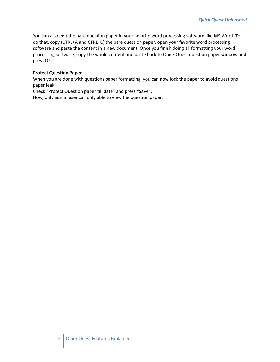You can also edit the bare question paper in your favorite word processing software like MS Word. To do that, copy (CTRL+A and CTRL+C) the bare question paper, open your favorite word processing software and paste the content in a new document. Once you finish doing all formatting your word processing software, copy the whole content and paste back to Quick Quest question paper window and press OK.

#### **Protect Question Paper**

When you are done with questions paper formatting, you can now lock the paper to avoid questions paper leak.

Check "Protect Question paper till date" and press "Save".

Now, only admin user can only able to view the question paper.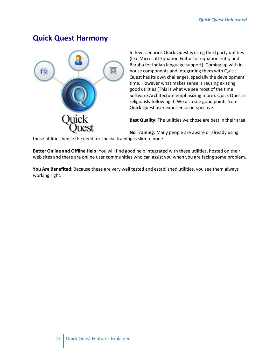#### <span id="page-13-0"></span>**[Quick Quest Harmony](http://srushtisoft.blogspot.com/2008/08/quick-quest-harmony.html)**



In few scenarios Quick Quest is using third party utilities (like Microsoft Equation Editor for equation entry and Baraha for Indian language support). Coming up with inhouse components and integrating them with Quick Quest has its own challenges, specially the development time. However what makes sense is reusing existing good utilities (This is what we see most of the time Software Architecture emphasizing more). Quick Quest is religiously following it. We also see good points from Quick Quest user experience perspective.

**Best Quality**: The utilities we chose are best in their area.

**No Training**: Many people are aware or already using

these utilities hence the need for special training is slim to none.

**Better Online and Offline Help**: You will find good help integrated with these utilities, hosted on their web sites and there are online user communities who can assist you when you are facing some problem.

**You Are Benefited**: Because these are very well tested and established utilities, you see them always working right.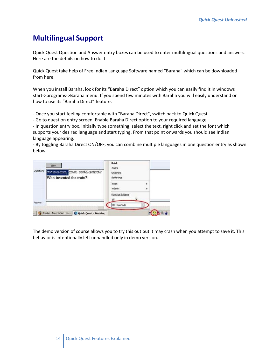# <span id="page-14-0"></span>**[Multilingual Support](http://srushtisoft.blogspot.com/2008/08/multilingual-quick-quest-support.html)**

Quick Quest Question and Answer entry boxes can be used to enter multilingual questions and answers. Here are the details on how to do it.

Quick Quest take help of Free Indian Language Software named "Baraha" which can be downloaded from [here.](http://www.baraha.com/baraha.htm)

When you install Baraha, look for its "Baraha Direct" option which you can easily find it in windows start->programs->Baraha menu. If you spend few minutes with Baraha you will easily understand on how to use its "Baraha Direct" feature.

- Once you start feeling comfortable with "Baraha Direct", switch back to Quick Quest.

- Go to question entry screen. Enable Baraha Direct option to your required language.

- In question entry box, initially type something, select the text, right click and set the font which supports your desired language and start typing. From that point onwards you should see Indian language appearing.

- By toggling Baraha Direct ON/OFF, you can combine multiple languages in one question entry as shown below.



The demo version of course allows you to try this out but it may crash when you attempt to save it. This behavior is intentionally left unhandled only in demo version.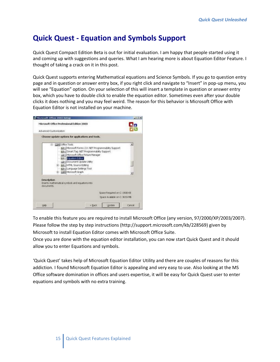# <span id="page-15-0"></span>**Quick Quest - [Equation and Symbols Support](http://srushtisoft.blogspot.com/2008/08/quick-quest-equation-and-symbols.html)**

[Quick Quest Compact Edition](http://srushtisoft.com/documents/qqad.html) Beta [is out](http://srushtisoft.com/documents/qqce.zip) for initial evaluation. I am happy that people started using it and coming up with suggestions and queries. What I am hearing more is about Equation Editor Feature. I thought of taking a crack on it in this post.

Quick Quest supports entering Mathematical equations and Science Symbols. If you go to question entry page and in question or answer entry box, if you right click and navigate to "Insert" in pop-up menu, you will see "Equation" option. On your selection of this will insert a template in question or answer entry box, which you have to double click to enable the equation editor. Sometimes even after your double clicks it does nothing and you may feel weird. The reason for this behavior is Microsoft Office with Equation Editor is not installed on your machine.

| is Microsoft Office 2003 Setup                                                                                                                                                                                                                                                                              |        |                                                               | $C[0] \times$ |
|-------------------------------------------------------------------------------------------------------------------------------------------------------------------------------------------------------------------------------------------------------------------------------------------------------------|--------|---------------------------------------------------------------|---------------|
| Microsoft Office Professional Edition 2003<br>Advanced Customization                                                                                                                                                                                                                                        |        |                                                               |               |
| Choose update options for applications and tools.                                                                                                                                                                                                                                                           |        |                                                               |               |
| B Law Office Tools<br>63 - Microsoft Forms 2.0 .NET Programmability Support<br>GD - Smart Tag .NET Programmability Support<br>a - Mcrosoft Office Picture Manager<br>4 P Equation Editor<br>Document Update Utility<br>H 69 - HTML Source Editing<br>dill - Language Settings Tool<br>B Case Morosoft Graph |        |                                                               |               |
| <b>Description</b><br>Inserts mathematical symbols and equations into<br>documents.                                                                                                                                                                                                                         |        |                                                               |               |
|                                                                                                                                                                                                                                                                                                             |        | Space Required on C: 1908 KB<br>Space Available on C: 3659 MB |               |
| Heb                                                                                                                                                                                                                                                                                                         | < Back | <b>Lindate</b>                                                | Cancel        |

To enable this feature you are required to install Microsoft Office (any version, 97/2000/XP/2003/2007). Please follow the [step by step instructions](http://support.microsoft.com/kb/228569) [\(http://support.microsoft.com/kb/228569\)](http://support.microsoft.com/kb/228569) given by Microsoft to install Equation Editor comes with Microsoft Office Suite.

Once you are done with the equation editor installation, you can now start Quick Quest and it should allow you to enter Equations and symbols.

'Quick Quest' takes help of Microsoft Equation Editor Utility and there are couples of reasons for this addiction. I found Microsoft Equation Editor is appealing and very easy to use. Also looking at the MS Office software domination in offices and users expertise, it will be easy for Quick Quest user to enter equations and symbols with no extra training.